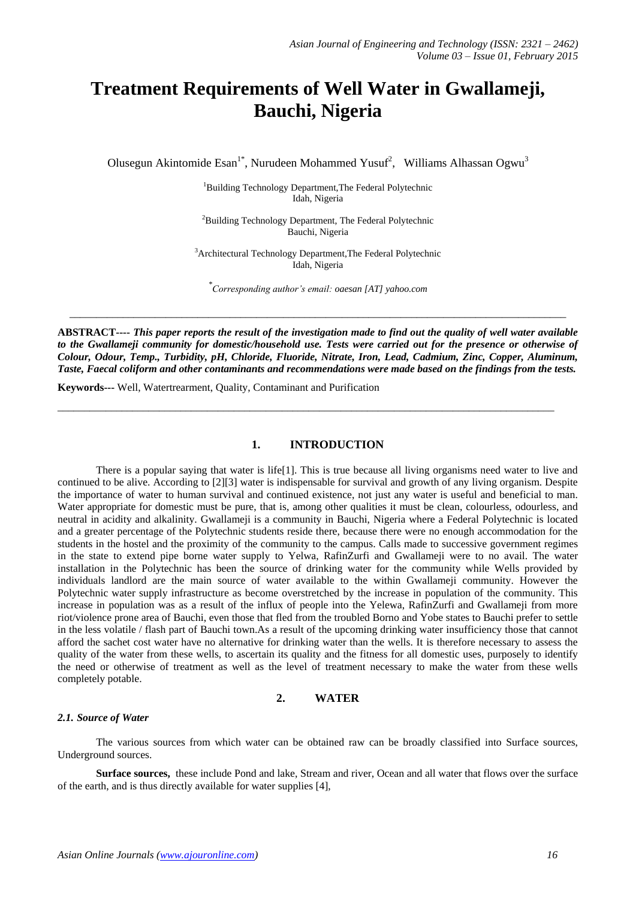# **Treatment Requirements of Well Water in Gwallameji, Bauchi, Nigeria**

Olusegun Akintomide Esan<sup>1\*</sup>, Nurudeen Mohammed Yusuf<sup>2</sup>, Williams Alhassan Ogwu<sup>3</sup>

<sup>1</sup>Building Technology Department, The Federal Polytechnic Idah, Nigeria

<sup>2</sup>Building Technology Department, The Federal Polytechnic Bauchi, Nigeria

<sup>3</sup>Architectural Technology Department,The Federal Polytechnic Idah, Nigeria

*\* Corresponding author's email[: oaesan \[AT\] yahoo.com](mailto:oaesan@yahoo.com)*

\_\_\_\_\_\_\_\_\_\_\_\_\_\_\_\_\_\_\_\_\_\_\_\_\_\_\_\_\_\_\_\_\_\_\_\_\_\_\_\_\_\_\_\_\_\_\_\_\_\_\_\_\_\_\_\_\_\_\_\_\_\_\_\_\_\_\_\_\_\_\_\_\_\_\_\_\_\_\_\_\_\_\_\_\_\_\_\_\_\_\_\_\_

**ABSTRACT----** *This paper reports the result of the investigation made to find out the quality of well water available*  to the Gwallameji community for domestic/household use. Tests were carried out for the presence or otherwise of *Colour, Odour, Temp., Turbidity, pH, Chloride, Fluoride, Nitrate, Iron, Lead, Cadmium, Zinc, Copper, Aluminum, Taste, Faecal coliform and other contaminants and recommendations were made based on the findings from the tests.*

**Keywords---** Well, Watertrearment, Quality, Contaminant and Purification

# **1. INTRODUCTION**

\_\_\_\_\_\_\_\_\_\_\_\_\_\_\_\_\_\_\_\_\_\_\_\_\_\_\_\_\_\_\_\_\_\_\_\_\_\_\_\_\_\_\_\_\_\_\_\_\_\_\_\_\_\_\_\_\_\_\_\_\_\_\_\_\_\_\_\_\_\_\_\_\_\_\_\_\_\_\_\_\_\_\_\_\_\_\_\_\_\_\_\_\_

There is a popular saying that water is life[1]. This is true because all living organisms need water to live and continued to be alive. According to [2][3] water is indispensable for survival and growth of any living organism. Despite the importance of water to human survival and continued existence, not just any water is useful and beneficial to man. Water appropriate for domestic must be pure, that is, among other qualities it must be clean, colourless, odourless, and neutral in acidity and alkalinity. Gwallameji is a community in Bauchi, Nigeria where a Federal Polytechnic is located and a greater percentage of the Polytechnic students reside there, because there were no enough accommodation for the students in the hostel and the proximity of the community to the campus. Calls made to successive government regimes in the state to extend pipe borne water supply to Yelwa, RafinZurfi and Gwallameji were to no avail. The water installation in the Polytechnic has been the source of drinking water for the community while Wells provided by individuals landlord are the main source of water available to the within Gwallameji community. However the Polytechnic water supply infrastructure as become overstretched by the increase in population of the community. This increase in population was as a result of the influx of people into the Yelewa, RafinZurfi and Gwallameji from more riot/violence prone area of Bauchi, even those that fled from the troubled Borno and Yobe states to Bauchi prefer to settle in the less volatile / flash part of Bauchi town.As a result of the upcoming drinking water insufficiency those that cannot afford the sachet cost water have no alternative for drinking water than the wells. It is therefore necessary to assess the quality of the water from these wells, to ascertain its quality and the fitness for all domestic uses, purposely to identify the need or otherwise of treatment as well as the level of treatment necessary to make the water from these wells completely potable.

## **2. WATER**

#### *2.1. Source of Water*

The various sources from which water can be obtained raw can be broadly classified into Surface sources, Underground sources.

**Surface sources,** these include Pond and lake, Stream and river, Ocean and all water that flows over the surface of the earth, and is thus directly available for water supplies [4],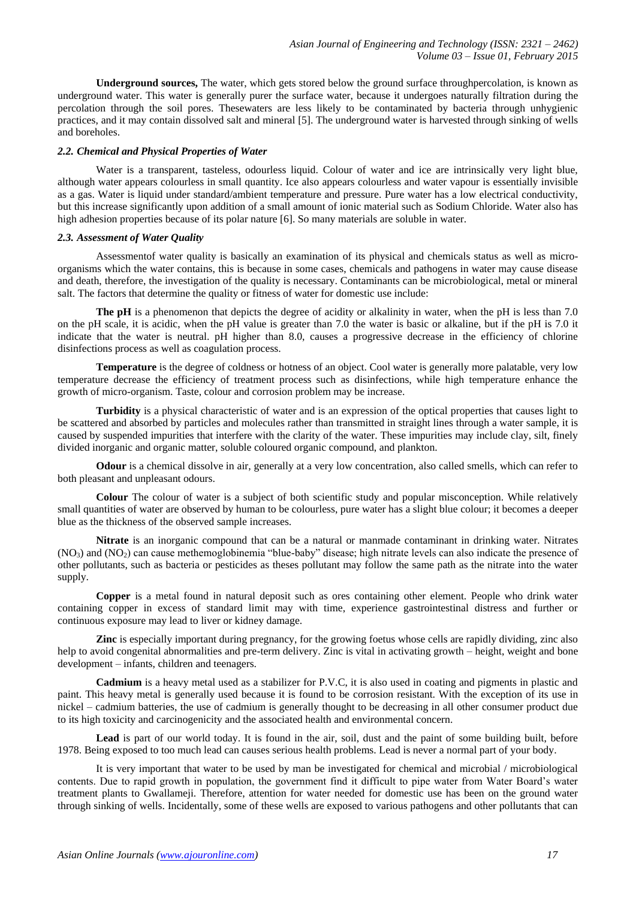**Underground sources,** The water, which gets stored below the ground surface throughpercolation, is known as underground water. This water is generally purer the surface water, because it undergoes naturally filtration during the percolation through the soil pores. Thesewaters are less likely to be contaminated by bacteria through unhygienic practices, and it may contain dissolved salt and mineral [5]. The underground water is harvested through sinking of wells and boreholes.

# *2.2. Chemical and Physical Properties of Water*

Water is a transparent, tasteless, odourless liquid. Colour of water and ice are intrinsically very light blue, although water appears colourless in small quantity. Ice also appears colourless and water vapour is essentially invisible as a gas. Water is liquid under standard/ambient temperature and pressure. Pure water has a low electrical conductivity, but this increase significantly upon addition of a small amount of ionic material such as Sodium Chloride. Water also has high adhesion properties because of its polar nature [6]. So many materials are soluble in water.

### *2.3. Assessment of Water Quality*

Assessmentof water quality is basically an examination of its physical and chemicals status as well as microorganisms which the water contains, this is because in some cases, chemicals and pathogens in water may cause disease and death, therefore, the investigation of the quality is necessary. Contaminants can be microbiological, metal or mineral salt. The factors that determine the quality or fitness of water for domestic use include:

**The pH** is a phenomenon that depicts the degree of acidity or alkalinity in water, when the pH is less than 7.0 on the pH scale, it is acidic, when the pH value is greater than 7.0 the water is basic or alkaline, but if the pH is 7.0 it indicate that the water is neutral. pH higher than 8.0, causes a progressive decrease in the efficiency of chlorine disinfections process as well as coagulation process.

**Temperature** is the degree of coldness or hotness of an object. Cool water is generally more palatable, very low temperature decrease the efficiency of treatment process such as disinfections, while high temperature enhance the growth of micro-organism. Taste, colour and corrosion problem may be increase.

**Turbidity** is a physical characteristic of water and is an expression of the optical properties that causes light to be scattered and absorbed by particles and molecules rather than transmitted in straight lines through a water sample, it is caused by suspended impurities that interfere with the clarity of the water. These impurities may include clay, silt, finely divided inorganic and organic matter, soluble coloured organic compound, and plankton.

**Odour** is a chemical dissolve in air, generally at a very low concentration, also called smells, which can refer to both pleasant and unpleasant odours.

**Colour** The colour of water is a subject of both scientific study and popular misconception. While relatively small quantities of water are observed by human to be colourless, pure water has a slight blue colour; it becomes a deeper blue as the thickness of the observed sample increases.

**Nitrate** is an inorganic compound that can be a natural or manmade contaminant in drinking water. Nitrates (NO3) and (NO2) can cause methemoglobinemia "blue-baby" disease; high nitrate levels can also indicate the presence of other pollutants, such as bacteria or pesticides as theses pollutant may follow the same path as the nitrate into the water supply.

**Copper** is a metal found in natural deposit such as ores containing other element. People who drink water containing copper in excess of standard limit may with time, experience gastrointestinal distress and further or continuous exposure may lead to liver or kidney damage.

**Zinc** is especially important during pregnancy, for the growing foetus whose cells are rapidly dividing, zinc also help to avoid congenital abnormalities and pre-term delivery. Zinc is vital in activating growth – height, weight and bone development – infants, children and teenagers.

**Cadmium** is a heavy metal used as a stabilizer for P.V.C, it is also used in coating and pigments in plastic and paint. This heavy metal is generally used because it is found to be corrosion resistant. With the exception of its use in nickel – cadmium batteries, the use of cadmium is generally thought to be decreasing in all other consumer product due to its high toxicity and carcinogenicity and the associated health and environmental concern.

Lead is part of our world today. It is found in the air, soil, dust and the paint of some building built, before 1978. Being exposed to too much lead can causes serious health problems. Lead is never a normal part of your body.

It is very important that water to be used by man be investigated for chemical and microbial / microbiological contents. Due to rapid growth in population, the government find it difficult to pipe water from Water Board's water treatment plants to Gwallameji. Therefore, attention for water needed for domestic use has been on the ground water through sinking of wells. Incidentally, some of these wells are exposed to various pathogens and other pollutants that can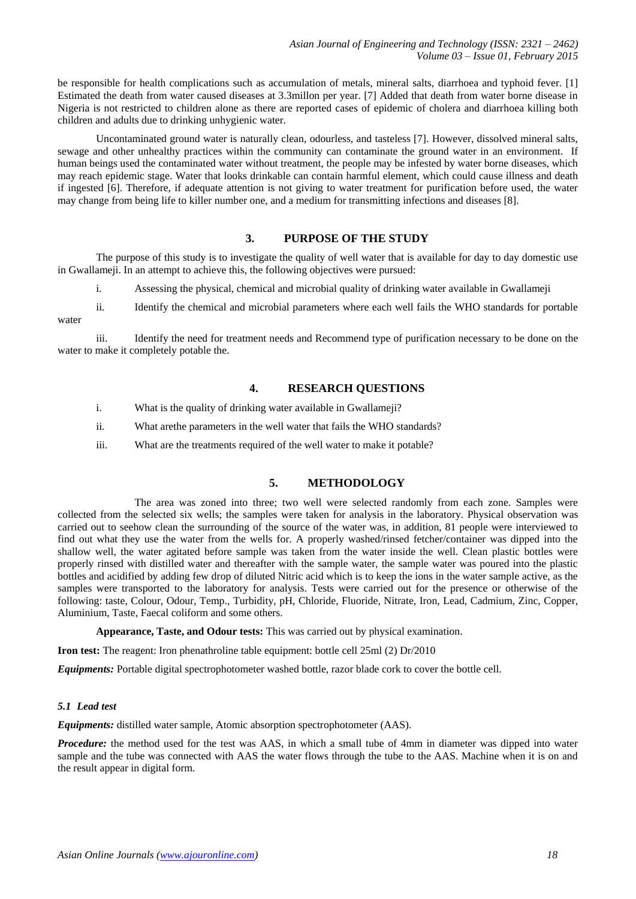be responsible for health complications such as accumulation of metals, mineral salts, diarrhoea and typhoid fever. [1] Estimated the death from water caused diseases at 3.3millon per year. [7] Added that death from water borne disease in Nigeria is not restricted to children alone as there are reported cases of epidemic of cholera and diarrhoea killing both children and adults due to drinking unhygienic water.

Uncontaminated ground water is naturally clean, odourless, and tasteless [7]. However, dissolved mineral salts, sewage and other unhealthy practices within the community can contaminate the ground water in an environment. If human beings used the contaminated water without treatment, the people may be infested by water borne diseases, which may reach epidemic stage. Water that looks drinkable can contain harmful element, which could cause illness and death if ingested [6]. Therefore, if adequate attention is not giving to water treatment for purification before used, the water may change from being life to killer number one, and a medium for transmitting infections and diseases [8].

# **3. PURPOSE OF THE STUDY**

The purpose of this study is to investigate the quality of well water that is available for day to day domestic use in Gwallameji. In an attempt to achieve this, the following objectives were pursued:

i. Assessing the physical, chemical and microbial quality of drinking water available in Gwallameji

ii. Identify the chemical and microbial parameters where each well fails the WHO standards for portable water

iii. Identify the need for treatment needs and Recommend type of purification necessary to be done on the water to make it completely potable the.

## **4. RESEARCH QUESTIONS**

- i. What is the quality of drinking water available in Gwallameji?
- ii. What arethe parameters in the well water that fails the WHO standards?
- iii. What are the treatments required of the well water to make it potable?

# **5. METHODOLOGY**

The area was zoned into three; two well were selected randomly from each zone. Samples were collected from the selected six wells; the samples were taken for analysis in the laboratory. Physical observation was carried out to seehow clean the surrounding of the source of the water was, in addition, 81 people were interviewed to find out what they use the water from the wells for. A properly washed/rinsed fetcher/container was dipped into the shallow well, the water agitated before sample was taken from the water inside the well. Clean plastic bottles were properly rinsed with distilled water and thereafter with the sample water, the sample water was poured into the plastic bottles and acidified by adding few drop of diluted Nitric acid which is to keep the ions in the water sample active, as the samples were transported to the laboratory for analysis. Tests were carried out for the presence or otherwise of the following: taste, Colour, Odour, Temp., Turbidity, pH, Chloride, Fluoride, Nitrate, Iron, Lead, Cadmium, Zinc, Copper, Aluminium, Taste, Faecal coliform and some others.

**Appearance, Taste, and Odour tests:** This was carried out by physical examination.

**Iron test:** The reagent: Iron phenathroline table equipment: bottle cell 25ml (2) Dr/2010

*Equipments:* Portable digital spectrophotometer washed bottle, razor blade cork to cover the bottle cell.

#### *5.1 Lead test*

*Equipments:* distilled water sample, Atomic absorption spectrophotometer (AAS).

*Procedure:* the method used for the test was AAS, in which a small tube of 4mm in diameter was dipped into water sample and the tube was connected with AAS the water flows through the tube to the AAS. Machine when it is on and the result appear in digital form.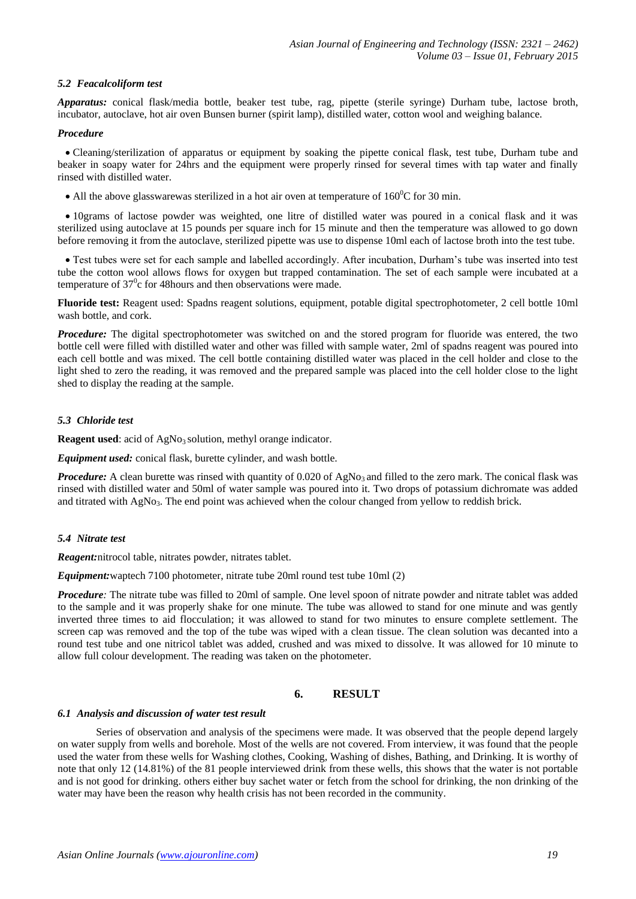## *5.2 Feacalcoliform test*

*Apparatus:* conical flask/media bottle, beaker test tube, rag, pipette (sterile syringe) Durham tube, lactose broth, incubator, autoclave, hot air oven Bunsen burner (spirit lamp), distilled water, cotton wool and weighing balance.

#### *Procedure*

 Cleaning/sterilization of apparatus or equipment by soaking the pipette conical flask, test tube, Durham tube and beaker in soapy water for 24hrs and the equipment were properly rinsed for several times with tap water and finally rinsed with distilled water.

• All the above glasswarewas sterilized in a hot air oven at temperature of  $160^{\circ}$ C for 30 min.

 10grams of lactose powder was weighted, one litre of distilled water was poured in a conical flask and it was sterilized using autoclave at 15 pounds per square inch for 15 minute and then the temperature was allowed to go down before removing it from the autoclave, sterilized pipette was use to dispense 10ml each of lactose broth into the test tube.

 Test tubes were set for each sample and labelled accordingly. After incubation, Durham's tube was inserted into test tube the cotton wool allows flows for oxygen but trapped contamination. The set of each sample were incubated at a temperature of  $37^0$ c for 48 hours and then observations were made.

**Fluoride test:** Reagent used: Spadns reagent solutions, equipment, potable digital spectrophotometer, 2 cell bottle 10ml wash bottle, and cork.

*Procedure:* The digital spectrophotometer was switched on and the stored program for fluoride was entered, the two bottle cell were filled with distilled water and other was filled with sample water, 2ml of spadns reagent was poured into each cell bottle and was mixed. The cell bottle containing distilled water was placed in the cell holder and close to the light shed to zero the reading, it was removed and the prepared sample was placed into the cell holder close to the light shed to display the reading at the sample.

#### *5.3 Chloride test*

**Reagent used:** acid of AgNo<sub>3</sub> solution, methyl orange indicator.

*Equipment used:* conical flask, burette cylinder, and wash bottle.

*Procedure:* A clean burette was rinsed with quantity of 0.020 of  $AgNo<sub>3</sub>$  and filled to the zero mark. The conical flask was rinsed with distilled water and 50ml of water sample was poured into it. Two drops of potassium dichromate was added and titrated with AgNo<sub>3</sub>. The end point was achieved when the colour changed from yellow to reddish brick.

#### *5.4 Nitrate test*

*Reagent:*nitrocol table, nitrates powder, nitrates tablet.

*Equipment:*waptech 7100 photometer, nitrate tube 20ml round test tube 10ml (2)

*Procedure*: The nitrate tube was filled to 20ml of sample. One level spoon of nitrate powder and nitrate tablet was added to the sample and it was properly shake for one minute. The tube was allowed to stand for one minute and was gently inverted three times to aid flocculation; it was allowed to stand for two minutes to ensure complete settlement. The screen cap was removed and the top of the tube was wiped with a clean tissue. The clean solution was decanted into a round test tube and one nitricol tablet was added, crushed and was mixed to dissolve. It was allowed for 10 minute to allow full colour development. The reading was taken on the photometer.

#### **6. RESULT**

#### *6.1 Analysis and discussion of water test result*

Series of observation and analysis of the specimens were made. It was observed that the people depend largely on water supply from wells and borehole. Most of the wells are not covered. From interview, it was found that the people used the water from these wells for Washing clothes, Cooking, Washing of dishes, Bathing, and Drinking. It is worthy of note that only 12 (14.81%) of the 81 people interviewed drink from these wells, this shows that the water is not portable and is not good for drinking. others either buy sachet water or fetch from the school for drinking, the non drinking of the water may have been the reason why health crisis has not been recorded in the community.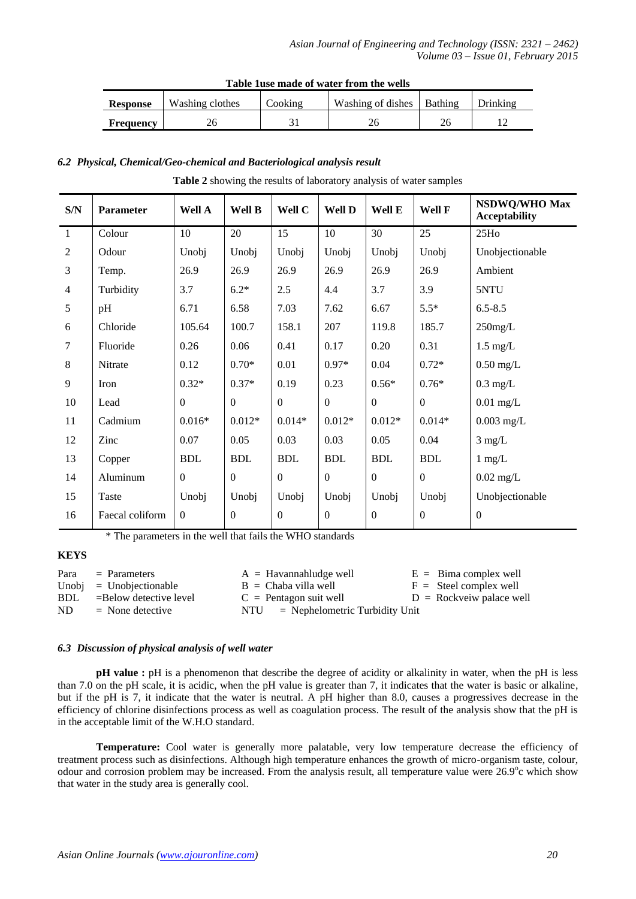| Table Tuse maye of water if our the wens |                 |                    |                             |  |          |  |  |  |
|------------------------------------------|-----------------|--------------------|-----------------------------|--|----------|--|--|--|
| <b>Response</b>                          | Washing clothes | $\mathrm{Cooking}$ | Washing of dishes   Bathing |  | Drinking |  |  |  |
| <b>Frequency</b>                         |                 |                    |                             |  |          |  |  |  |

# **Table 1use made of water from the wells**

# *6.2 Physical, Chemical/Geo-chemical and Bacteriological analysis result*

| <b>Table 2</b> showing the results of laboratory analysis of water samples |  |
|----------------------------------------------------------------------------|--|
|                                                                            |  |

| S/N              | Parameter       | Well A           | Well B       | Well C           | Well D       | Well E           | Well F           | NSDWQ/WHO Max<br><b>Acceptability</b> |
|------------------|-----------------|------------------|--------------|------------------|--------------|------------------|------------------|---------------------------------------|
| $\mathbf{1}$     | Colour          | 10               | 20           | 15               | 10           | 30               | 25               | 25H <sub>0</sub>                      |
| $\overline{2}$   | Odour           | Unobj            | Unobj        | Unobj            | Unobj        | Unobj            | Unobj            | Unobjectionable                       |
| $\mathfrak{Z}$   | Temp.           | 26.9             | 26.9         | 26.9             | 26.9         | 26.9             | 26.9             | Ambient                               |
| $\overline{4}$   | Turbidity       | 3.7              | $6.2*$       | 2.5              | 4.4          | 3.7              | 3.9              | 5NTU                                  |
| $\sqrt{5}$       | pH              | 6.71             | 6.58         | 7.03             | 7.62         | 6.67             | $5.5*$           | $6.5 - 8.5$                           |
| $\boldsymbol{6}$ | Chloride        | 105.64           | 100.7        | 158.1            | 207          | 119.8            | 185.7            | $250$ mg/L                            |
| $\tau$           | Fluoride        | 0.26             | 0.06         | 0.41             | 0.17         | 0.20             | 0.31             | $1.5 \text{ mg/L}$                    |
| $\,8\,$          | Nitrate         | 0.12             | $0.70*$      | 0.01             | $0.97*$      | 0.04             | $0.72*$          | $0.50$ mg/L                           |
| 9                | Iron            | $0.32*$          | $0.37*$      | 0.19             | 0.23         | $0.56*$          | $0.76*$          | $0.3$ mg/L                            |
| $10\,$           | Lead            | $\mathbf{0}$     | $\mathbf{0}$ | $\boldsymbol{0}$ | $\mathbf{0}$ | $\boldsymbol{0}$ | $\mathbf{0}$     | $0.01$ mg/L                           |
| 11               | Cadmium         | $0.016*$         | $0.012*$     | $0.014*$         | $0.012*$     | $0.012*$         | $0.014*$         | $0.003$ mg/L                          |
| 12               | Zinc            | 0.07             | 0.05         | 0.03             | 0.03         | 0.05             | 0.04             | $3$ mg/L                              |
| 13               | Copper          | <b>BDL</b>       | <b>BDL</b>   | <b>BDL</b>       | <b>BDL</b>   | <b>BDL</b>       | <b>BDL</b>       | $1 \text{ mg/L}$                      |
| 14               | Aluminum        | $\boldsymbol{0}$ | $\mathbf{0}$ | $\boldsymbol{0}$ | $\mathbf{0}$ | $\overline{0}$   | $\boldsymbol{0}$ | $0.02$ mg/L                           |
| 15               | Taste           | Unobj            | Unobj        | Unobj            | Unobj        | Unobj            | Unobj            | Unobjectionable                       |
| 16               | Faecal coliform | $\boldsymbol{0}$ | $\mathbf{0}$ | $\boldsymbol{0}$ | $\mathbf{0}$ | $\boldsymbol{0}$ | $\mathbf{0}$     | $\boldsymbol{0}$                      |

\* The parameters in the well that fails the WHO standards

# **KEYS**

| Para | $=$ Parameters            | $A =$ Havannahludge well                    | $E = Bima complex well$          |
|------|---------------------------|---------------------------------------------|----------------------------------|
|      | $Unobi = Unobjectionable$ | $B = Chaba$ villa well                      | $F =$ Steel complex well         |
| BDL  | $=$ Below detective level | $C =$ Pentagon suit well                    | $D = \text{Rockveiw plane well}$ |
| ND.  | $=$ None detective        | $NTU = \text{Nephelometric Turbidity Unit}$ |                                  |

# *6.3 Discussion of physical analysis of well water*

**pH** value : pH is a phenomenon that describe the degree of acidity or alkalinity in water, when the pH is less than 7.0 on the pH scale, it is acidic, when the pH value is greater than 7, it indicates that the water is basic or alkaline, but if the pH is 7, it indicate that the water is neutral. A pH higher than 8.0, causes a progressives decrease in the efficiency of chlorine disinfections process as well as coagulation process. The result of the analysis show that the pH is in the acceptable limit of the W.H.O standard.

**Temperature:** Cool water is generally more palatable, very low temperature decrease the efficiency of treatment process such as disinfections. Although high temperature enhances the growth of micro-organism taste, colour, odour and corrosion problem may be increased. From the analysis result, all temperature value were 26.9°c which show that water in the study area is generally cool.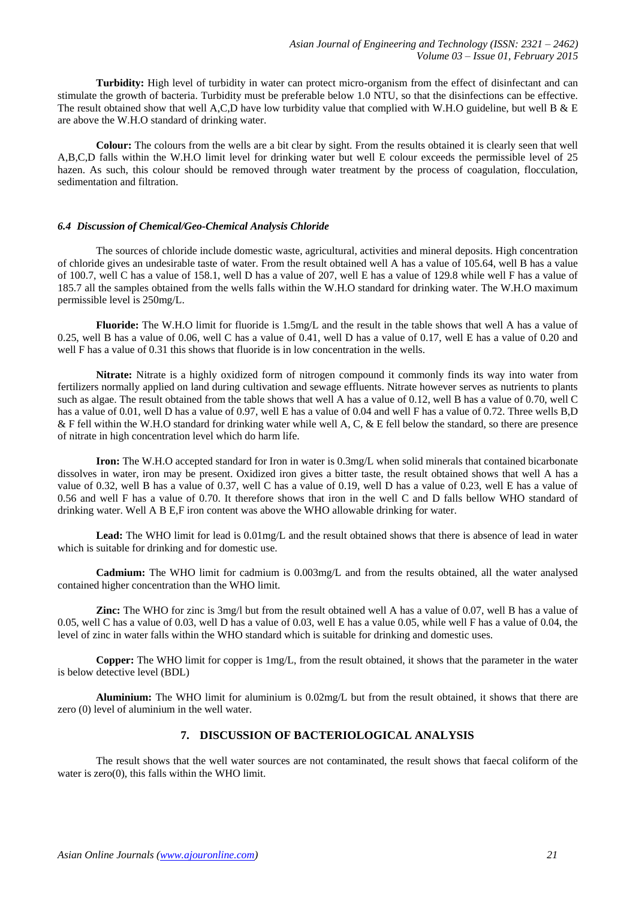**Turbidity:** High level of turbidity in water can protect micro-organism from the effect of disinfectant and can stimulate the growth of bacteria. Turbidity must be preferable below 1.0 NTU, so that the disinfections can be effective. The result obtained show that well A,C,D have low turbidity value that complied with W.H.O guideline, but well B & E are above the W.H.O standard of drinking water.

**Colour:** The colours from the wells are a bit clear by sight. From the results obtained it is clearly seen that well A,B,C,D falls within the W.H.O limit level for drinking water but well E colour exceeds the permissible level of 25 hazen. As such, this colour should be removed through water treatment by the process of coagulation, flocculation, sedimentation and filtration.

#### *6.4 Discussion of Chemical/Geo-Chemical Analysis Chloride*

The sources of chloride include domestic waste, agricultural, activities and mineral deposits. High concentration of chloride gives an undesirable taste of water. From the result obtained well A has a value of 105.64, well B has a value of 100.7, well C has a value of 158.1, well D has a value of 207, well E has a value of 129.8 while well F has a value of 185.7 all the samples obtained from the wells falls within the W.H.O standard for drinking water. The W.H.O maximum permissible level is 250mg/L.

**Fluoride:** The W.H.O limit for fluoride is 1.5mg/L and the result in the table shows that well A has a value of 0.25, well B has a value of 0.06, well C has a value of 0.41, well D has a value of 0.17, well E has a value of 0.20 and well F has a value of 0.31 this shows that fluoride is in low concentration in the wells.

**Nitrate:** Nitrate is a highly oxidized form of nitrogen compound it commonly finds its way into water from fertilizers normally applied on land during cultivation and sewage effluents. Nitrate however serves as nutrients to plants such as algae. The result obtained from the table shows that well A has a value of 0.12, well B has a value of 0.70, well C has a value of 0.01, well D has a value of 0.97, well E has a value of 0.04 and well F has a value of 0.72. Three wells B,D & F fell within the W.H.O standard for drinking water while well A, C, & E fell below the standard, so there are presence of nitrate in high concentration level which do harm life.

**Iron:** The W.H.O accepted standard for Iron in water is 0.3mg/L when solid minerals that contained bicarbonate dissolves in water, iron may be present. Oxidized iron gives a bitter taste, the result obtained shows that well A has a value of 0.32, well B has a value of 0.37, well C has a value of 0.19, well D has a value of 0.23, well E has a value of 0.56 and well F has a value of 0.70. It therefore shows that iron in the well C and D falls bellow WHO standard of drinking water. Well A B E,F iron content was above the WHO allowable drinking for water.

**Lead:** The WHO limit for lead is 0.01mg/L and the result obtained shows that there is absence of lead in water which is suitable for drinking and for domestic use.

**Cadmium:** The WHO limit for cadmium is 0.003mg/L and from the results obtained, all the water analysed contained higher concentration than the WHO limit.

**Zinc:** The WHO for zinc is 3mg/l but from the result obtained well A has a value of 0.07, well B has a value of 0.05, well C has a value of 0.03, well D has a value of 0.03, well E has a value 0.05, while well F has a value of 0.04, the level of zinc in water falls within the WHO standard which is suitable for drinking and domestic uses.

**Copper:** The WHO limit for copper is 1mg/L, from the result obtained, it shows that the parameter in the water is below detective level (BDL)

**Aluminium:** The WHO limit for aluminium is 0.02mg/L but from the result obtained, it shows that there are zero (0) level of aluminium in the well water.

# **7. DISCUSSION OF BACTERIOLOGICAL ANALYSIS**

The result shows that the well water sources are not contaminated, the result shows that faecal coliform of the water is zero(0), this falls within the WHO limit.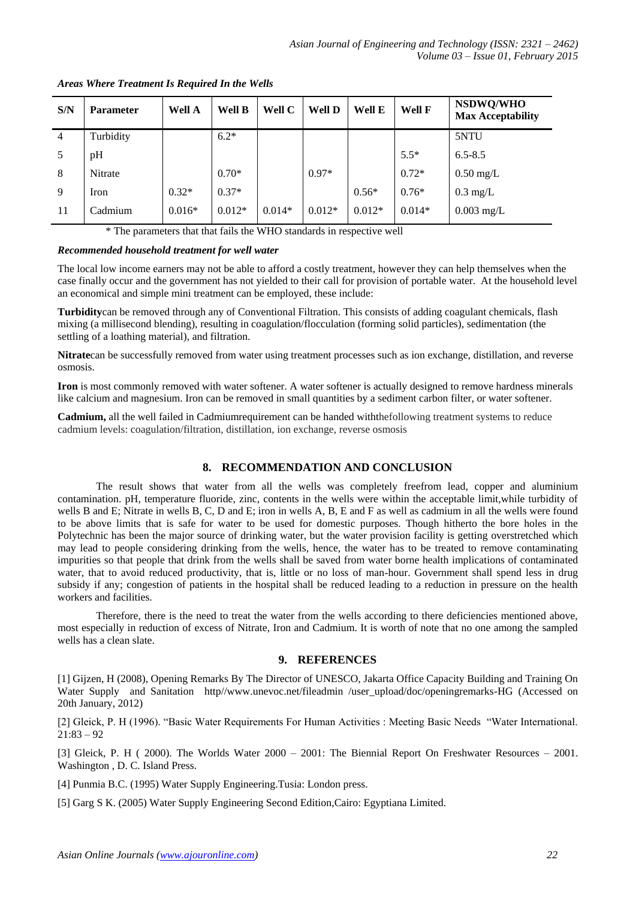| S/N            | <b>Parameter</b> | Well A   | Well <b>B</b> | Well C   | Well D   | Well E   | Well F   | NSDWQ/WHO<br><b>Max Acceptability</b> |
|----------------|------------------|----------|---------------|----------|----------|----------|----------|---------------------------------------|
| $\overline{4}$ | Turbidity        |          | $6.2*$        |          |          |          |          | 5NTU                                  |
| 5              | pH               |          |               |          |          |          | $5.5*$   | $6.5 - 8.5$                           |
| 8              | Nitrate          |          | $0.70*$       |          | $0.97*$  |          | $0.72*$  | $0.50$ mg/L                           |
| 9              | Iron             | $0.32*$  | $0.37*$       |          |          | $0.56*$  | $0.76*$  | $0.3 \text{ mg/L}$                    |
| 11             | Cadmium          | $0.016*$ | $0.012*$      | $0.014*$ | $0.012*$ | $0.012*$ | $0.014*$ | $0.003 \text{ mg/L}$                  |

*Areas Where Treatment Is Required In the Wells*

\* The parameters that that fails the WHO standards in respective well

# *Recommended household treatment for well water*

The local low income earners may not be able to afford a costly treatment, however they can help themselves when the case finally occur and the government has not yielded to their call for provision of portable water. At the household level an economical and simple mini treatment can be employed, these include:

**Turbidity**can be removed through any of Conventional Filtration. This consists of adding coagulant chemicals, flash mixing (a millisecond blending), resulting in coagulation/flocculation (forming solid particles), sedimentation (the settling of a loathing material), and filtration.

**Nitrate**can be successfully removed from water using treatment processes such as ion exchange, distillation, and reverse osmosis.

**Iron** is most commonly removed with water softener. A water softener is actually designed to remove hardness minerals like calcium and magnesium. Iron can be removed in small quantities by a sediment carbon filter, or water softener.

**Cadmium,** all the well failed in Cadmiumrequirement can be handed withthefollowing treatment systems to reduce cadmium levels: coagulation/filtration, distillation, ion exchange, reverse osmosis

# **8. RECOMMENDATION AND CONCLUSION**

The result shows that water from all the wells was completely freefrom lead, copper and aluminium contamination. pH, temperature fluoride, zinc, contents in the wells were within the acceptable limit,while turbidity of wells B and E; Nitrate in wells B, C, D and E; iron in wells A, B, E and F as well as cadmium in all the wells were found to be above limits that is safe for water to be used for domestic purposes. Though hitherto the bore holes in the Polytechnic has been the major source of drinking water, but the water provision facility is getting overstretched which may lead to people considering drinking from the wells, hence, the water has to be treated to remove contaminating impurities so that people that drink from the wells shall be saved from water borne health implications of contaminated water, that to avoid reduced productivity, that is, little or no loss of man-hour. Government shall spend less in drug subsidy if any; congestion of patients in the hospital shall be reduced leading to a reduction in pressure on the health workers and facilities.

Therefore, there is the need to treat the water from the wells according to there deficiencies mentioned above, most especially in reduction of excess of Nitrate, Iron and Cadmium. It is worth of note that no one among the sampled wells has a clean slate.

# **9. REFERENCES**

[1] Gijzen, H (2008), Opening Remarks By The Director of UNESCO, Jakarta Office Capacity Building and Training On Water Supply and Sanitation http//www.unevoc.net/fileadmin /user\_upload/doc/openingremarks-HG (Accessed on 20th January, 2012)

[2] Gleick, P. H (1996). "Basic Water Requirements For Human Activities : Meeting Basic Needs "Water International.  $21:83 - 92$ 

[3] Gleick, P. H ( 2000). The Worlds Water 2000 – 2001: The Biennial Report On Freshwater Resources – 2001. Washington , D. C. Island Press.

[4] Punmia B.C. (1995) Water Supply Engineering.Tusia: London press.

[5] Garg S K. (2005) Water Supply Engineering Second Edition,Cairo: Egyptiana Limited.